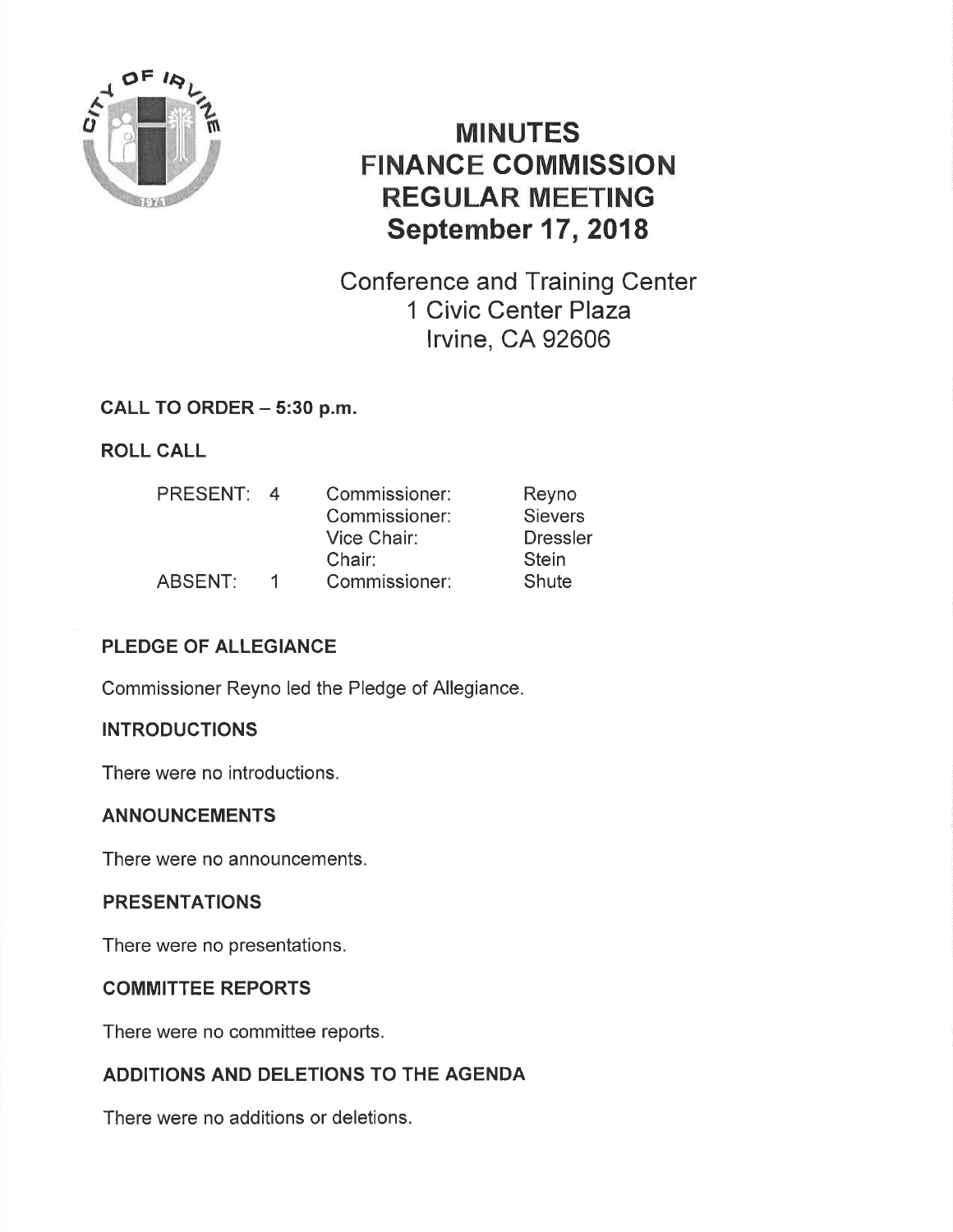

# MINUTES FINANCE COMMISSION REGULAR MEETING September 17, 2018

Conference and Training Center 1 Civic Center Plaza lrvine, CA 92606

# CALL TO ORDER - 5:30 p.m.

ROLL CALL

| <b>PRESENT:</b> | $\overline{4}$ | Commissioner: | Reyno           |
|-----------------|----------------|---------------|-----------------|
|                 |                | Commissioner: | <b>Sievers</b>  |
|                 |                | Vice Chair:   | <b>Dressler</b> |
|                 |                | Chair:        | <b>Stein</b>    |
| ABSENT:         |                | Commissioner: | Shute           |

# PLEDGE OF ALLEGIANCE

Commissioner Reyno led the Pledge of Allegiance.

# **INTRODUCTIONS**

There were no introductions.

# ANNOUNCEMENTS

There were no announcements.

# PRESENTATIONS

There were no presentations.

# COMMITTEE REPORTS

There were no committee reports.

# ADDITIONS AND DELETIONS TO THE AGENDA

There were no additions or deletions.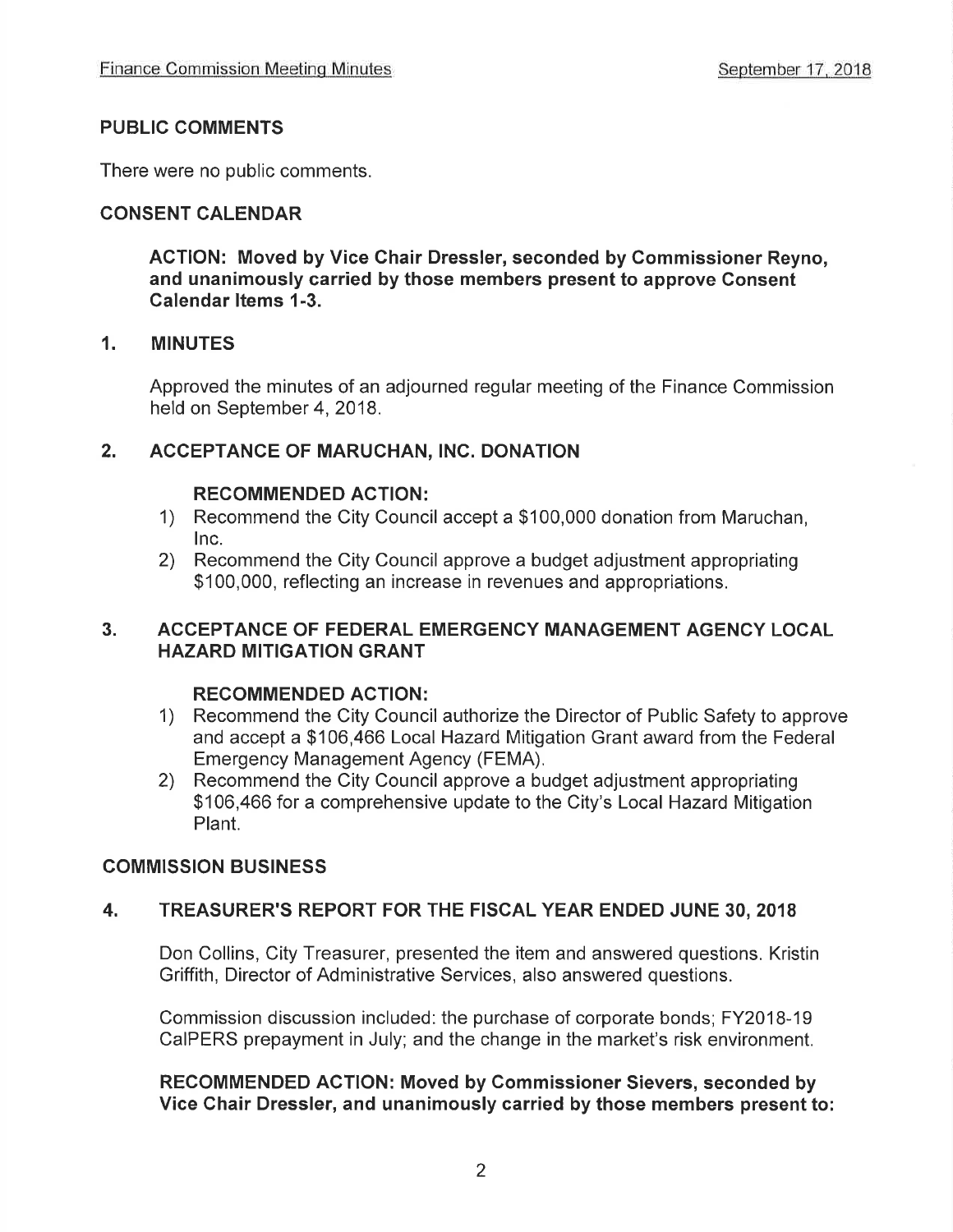#### PUBLIC COMMENTS

There were no public comments.

# CONSENT CALENDAR

ACTION: Moved by Vice Ghair Dressler, seconded by Commissioner Reyno, and unanimously carried by those members present to approve Consent Galendar ltems 1-3.

#### 1. MINUTES

Approved the minutes of an adjourned regular meeting of the Finance Commission held on September 4, 2018.

# 2. ACCEPTANCE OF MARUCHAN, INC. DONATION

#### RECOMMENDED ACTION:

- 1) Recommend the City Council accept a \$100,000 donation from Maruchan,
- 2) Recommend the City Council approve a budget adjustment appropriating \$100,000, reflecting an increase in revenues and appropriations.

#### 3. ACCEPTANCE OF FEDERAL EMERGENCY MANAGEMENT AGENCY LOCAL HAZARD MITIGATION GRANT

#### RECOMMENDED ACTION:

- 1) Recommend the City Council authorize the Director of Public Safety to approve and accept a \$106,466 Local Hazard Mitigation Grant award from the Federal Emergency Management Agency (FEMA),
- 2) Recommend the City Council approve a budget adjustment appropriating \$106,466 for a comprehensive update to the City's Local Hazard Mitigation Plant.

# COMMISSION BUSINESS

# 4. TREASURER'S REPORT FOR THE FISCAL YEAR ENDED JUNE 30, <sup>2018</sup>

Don Collins, City Treasurer, presented the item and answered questions, Kristin Griffith, Director of Administrative Services, also answered questions.

Commission discussion included: the purchase of corporate bonds; FY201B-19 CaIPERS prepayment in July; and the change in the market's risk environment.

#### RECOMMENDED ACTION: Moved by Commissioner Sievers, seconded by Vice Chair Dressler, and unanimously carried by those members present to: